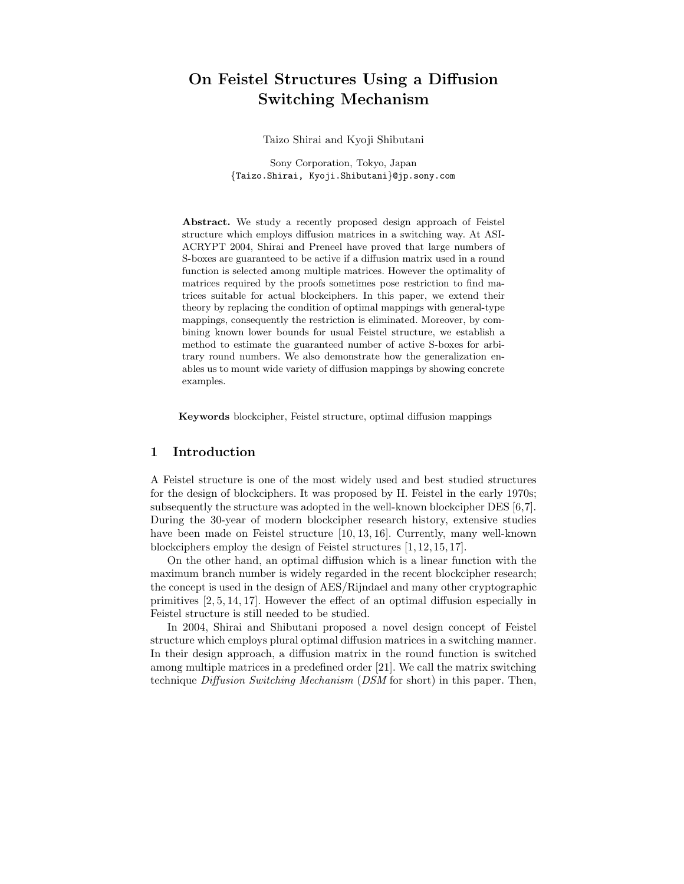# On Feistel Structures Using a Diffusion Switching Mechanism

Taizo Shirai and Kyoji Shibutani

Sony Corporation, Tokyo, Japan {Taizo.Shirai, Kyoji.Shibutani}@jp.sony.com

Abstract. We study a recently proposed design approach of Feistel structure which employs diffusion matrices in a switching way. At ASI-ACRYPT 2004, Shirai and Preneel have proved that large numbers of S-boxes are guaranteed to be active if a diffusion matrix used in a round function is selected among multiple matrices. However the optimality of matrices required by the proofs sometimes pose restriction to find matrices suitable for actual blockciphers. In this paper, we extend their theory by replacing the condition of optimal mappings with general-type mappings, consequently the restriction is eliminated. Moreover, by combining known lower bounds for usual Feistel structure, we establish a method to estimate the guaranteed number of active S-boxes for arbitrary round numbers. We also demonstrate how the generalization enables us to mount wide variety of diffusion mappings by showing concrete examples.

Keywords blockcipher, Feistel structure, optimal diffusion mappings

# 1 Introduction

A Feistel structure is one of the most widely used and best studied structures for the design of blockciphers. It was proposed by H. Feistel in the early 1970s; subsequently the structure was adopted in the well-known blockcipher DES [6,7]. During the 30-year of modern blockcipher research history, extensive studies have been made on Feistel structure [10, 13, 16]. Currently, many well-known blockciphers employ the design of Feistel structures [1, 12, 15, 17].

On the other hand, an optimal diffusion which is a linear function with the maximum branch number is widely regarded in the recent blockcipher research; the concept is used in the design of AES/Rijndael and many other cryptographic primitives [2, 5, 14, 17]. However the effect of an optimal diffusion especially in Feistel structure is still needed to be studied.

In 2004, Shirai and Shibutani proposed a novel design concept of Feistel structure which employs plural optimal diffusion matrices in a switching manner. In their design approach, a diffusion matrix in the round function is switched among multiple matrices in a predefined order [21]. We call the matrix switching technique Diffusion Switching Mechanism (DSM for short) in this paper. Then,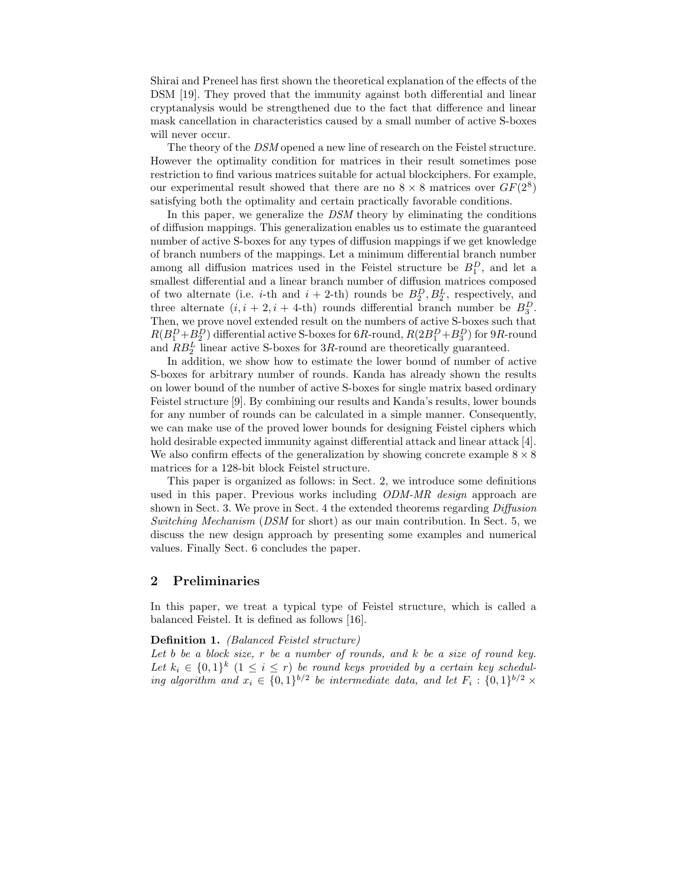Shirai and Preneel has first shown the theoretical explanation of the effects of the DSM [19]. They proved that the immunity against both differential and linear cryptanalysis would be strengthened due to the fact that difference and linear mask cancellation in characteristics caused by a small number of active S-boxes will never occur.

The theory of the DSM opened a new line of research on the Feistel structure. However the optimality condition for matrices in their result sometimes pose restriction to find various matrices suitable for actual blockciphers. For example, our experimental result showed that there are no  $8 \times 8$  matrices over  $GF(2^8)$ satisfying both the optimality and certain practically favorable conditions.

In this paper, we generalize the DSM theory by eliminating the conditions of diffusion mappings. This generalization enables us to estimate the guaranteed number of active S-boxes for any types of diffusion mappings if we get knowledge of branch numbers of the mappings. Let a minimum differential branch number among all diffusion matrices used in the Feistel structure be  $B_1^D$ , and let a smallest differential and a linear branch number of diffusion matrices composed of two alternate (i.e. *i*-th and  $i + 2$ -th) rounds be  $B_2^D, B_2^L$ , respectively, and three alternate  $(i, i + 2, i + 4$ -th) rounds differential branch number be  $B_3^D$ . Then, we prove novel extended result on the numbers of active S-boxes such that  $R(B_1^D+B_2^D)$  differential active S-boxes for 6R-round,  $R(2B_1^D+B_3^D)$  for 9R-round and  $RB_2^L$  linear active S-boxes for 3R-round are theoretically guaranteed.

In addition, we show how to estimate the lower bound of number of active S-boxes for arbitrary number of rounds. Kanda has already shown the results on lower bound of the number of active S-boxes for single matrix based ordinary Feistel structure [9]. By combining our results and Kanda's results, lower bounds for any number of rounds can be calculated in a simple manner. Consequently, we can make use of the proved lower bounds for designing Feistel ciphers which hold desirable expected immunity against differential attack and linear attack [4]. We also confirm effects of the generalization by showing concrete example  $8 \times 8$ matrices for a 128-bit block Feistel structure.

This paper is organized as follows: in Sect. 2, we introduce some definitions used in this paper. Previous works including *ODM-MR design* approach are shown in Sect. 3. We prove in Sect. 4 the extended theorems regarding Diffusion Switching Mechanism (DSM for short) as our main contribution. In Sect. 5, we discuss the new design approach by presenting some examples and numerical values. Finally Sect. 6 concludes the paper.

# 2 Preliminaries

In this paper, we treat a typical type of Feistel structure, which is called a balanced Feistel. It is defined as follows [16].

#### Definition 1. (Balanced Feistel structure)

Let b be a block size,  $r$  be a number of rounds, and  $k$  be a size of round key. Let  $k_i \in \{0,1\}^k$   $(1 \leq i \leq r)$  be round keys provided by a certain key scheduling algorithm and  $x_i \in \{0,1\}^{b/2}$  be intermediate data, and let  $F_i: \{0,1\}^{b/2} \times$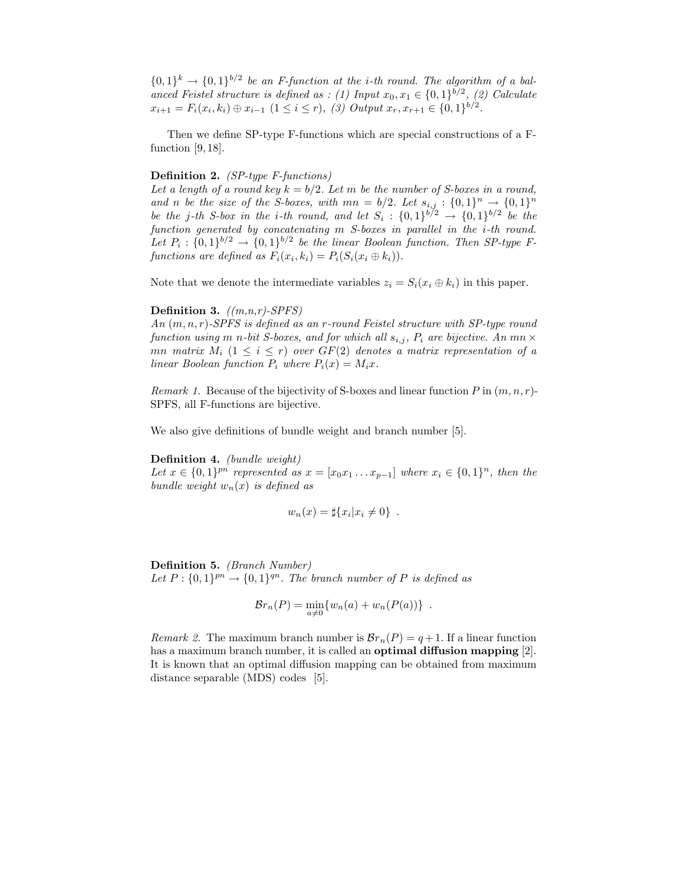$\{0,1\}^k \to \{0,1\}^{b/2}$  be an F-function at the *i*-th round. The algorithm of a balanced Feistel structure is defined as : (1) Input  $x_0, x_1 \in \{0, 1\}^{b/2}$ , (2) Calculate  $x_{i+1} = F_i(x_i, k_i) \oplus x_{i-1} \ (1 \leq i \leq r), \ (3) \ Output \ x_r, x_{r+1} \in \{0, 1\}^{b/2}.$ 

Then we define SP-type F-functions which are special constructions of a Ffunction  $[9, 18]$ .

#### Definition 2. (SP-type F-functions)

Let a length of a round key  $k = b/2$ . Let m be the number of S-boxes in a round, and n be the size of the S-boxes, with  $mn = b/2$ . Let  $s_{i,j} : \{0,1\}^n \rightarrow \{0,1\}^n$ be the j-th S-box in the i-th round, and let  $S_i: \{0,1\}^{b/2} \rightarrow \{0,1\}^{b/2}$  be the function generated by concatenating m S-boxes in parallel in the *i*-th round. Let  $P_i: \{0,1\}^{b/2} \to \{0,1\}^{b/2}$  be the linear Boolean function. Then SP-type Ffunctions are defined as  $F_i(x_i, k_i) = P_i(S_i(x_i \oplus k_i)).$ 

Note that we denote the intermediate variables  $z_i = S_i(x_i \oplus k_i)$  in this paper.

#### Definition 3.  $((m, n, r)$ -SPFS)

An  $(m, n, r)$ -SPFS is defined as an r-round Feistel structure with SP-type round function using m n-bit S-boxes, and for which all  $s_{i,j}$ ,  $P_i$  are bijective. An mn  $\times$ mn matrix  $M_i$   $(1 \leq i \leq r)$  over  $GF(2)$  denotes a matrix representation of a linear Boolean function  $P_i$  where  $P_i(x) = M_i x$ .

*Remark 1.* Because of the bijectivity of S-boxes and linear function P in  $(m, n, r)$ -SPFS, all F-functions are bijective.

We also give definitions of bundle weight and branch number [5].

Definition 4. (bundle weight) Let  $x \in \{0,1\}^{pn}$  represented as  $x = [x_0x_1 \dots x_{p-1}]$  where  $x_i \in \{0,1\}^n$ , then the bundle weight  $w_n(x)$  is defined as

$$
w_n(x) = \sharp\{x_i | x_i \neq 0\} .
$$

#### Definition 5. (Branch Number)

Let  $P: \{0,1\}^{pn} \rightarrow \{0,1\}^{qn}$ . The branch number of P is defined as

$$
\mathcal{B}r_n(P) = \min_{a \neq 0} \{w_n(a) + w_n(P(a))\} .
$$

Remark 2. The maximum branch number is  $\mathcal{B}r_n(P) = q+1$ . If a linear function has a maximum branch number, it is called an **optimal diffusion mapping** [2]. It is known that an optimal diffusion mapping can be obtained from maximum distance separable (MDS) codes [5].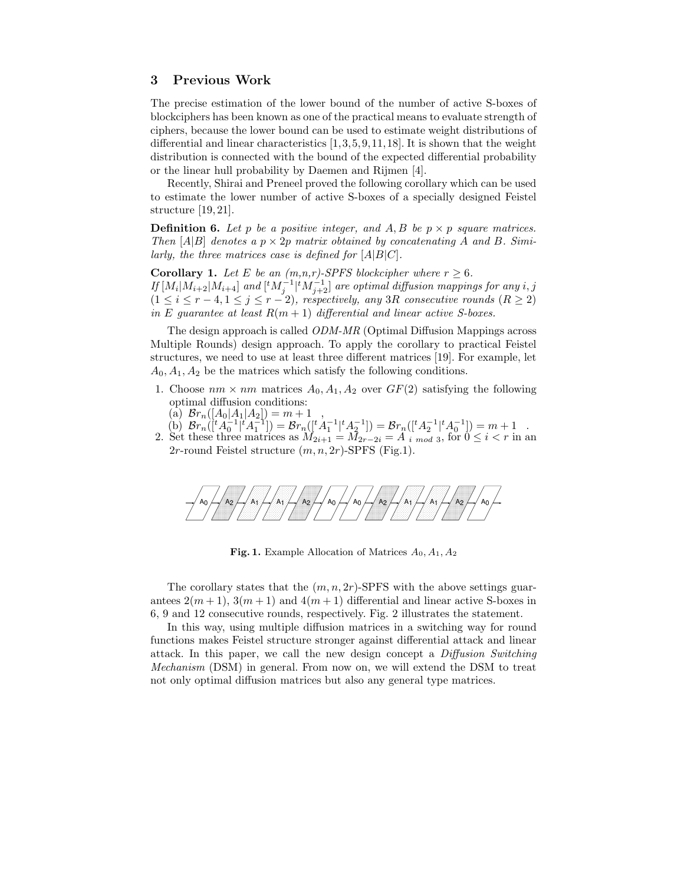# 3 Previous Work

The precise estimation of the lower bound of the number of active S-boxes of blockciphers has been known as one of the practical means to evaluate strength of ciphers, because the lower bound can be used to estimate weight distributions of differential and linear characteristics  $[1,3,5,9,11,18]$ . It is shown that the weight distribution is connected with the bound of the expected differential probability or the linear hull probability by Daemen and Rijmen [4].

Recently, Shirai and Preneel proved the following corollary which can be used to estimate the lower number of active S-boxes of a specially designed Feistel structure [19, 21].

**Definition 6.** Let p be a positive integer, and A, B be  $p \times p$  square matrices. Then  $[A|B]$  denotes a  $p \times 2p$  matrix obtained by concatenating A and B. Similarly, the three matrices case is defined for  $[A|B|C]$ .

**Corollary 1.** Let E be an  $(m,n,r)$ -SPFS blockcipher where  $r \geq 6$ . If  $[M_i|M_{i+2}|M_{i+4}]$  and  $[{}^tM_j^{-1}|{}^tM_{j+2}^{-1}]$  are optimal diffusion mappings for any  $i,j$  $(1 \leq i \leq r-4, 1 \leq j \leq r-2)$ , respectively, any 3R consecutive rounds  $(R \geq 2)$ in E guarantee at least  $R(m + 1)$  differential and linear active S-boxes.

The design approach is called ODM-MR (Optimal Diffusion Mappings across Multiple Rounds) design approach. To apply the corollary to practical Feistel structures, we need to use at least three different matrices [19]. For example, let  $A_0, A_1, A_2$  be the matrices which satisfy the following conditions.

- 1. Choose  $nm \times nm$  matrices  $A_0, A_1, A_2$  over  $GF(2)$  satisfying the following optimal diffusion conditions:
	- (a)  $\mathcal{B}r_n([A_0|A_1|A_2]) = m + 1$
- (b)  $\mathcal{B}r_n([{}^tA_0^{-1}|{}^tA_1^{-1}]) = \mathcal{B}r_n([{}^tA_1^{-1}|{}^tA_2^{-1}]) = \mathcal{B}r_n([{}^tA_2^{-1}|{}^tA_0^{-1}]) = m+1$ 2. Set these three matrices as  $M_{2i+1} = M_{2r-2i} = A_{i \mod 3}$ , for  $0 \le i < r$  in an 2r-round Feistel structure  $(m, n, 2r)$ -SPFS (Fig.1).



Fig. 1. Example Allocation of Matrices  $A_0, A_1, A_2$ 

The corollary states that the  $(m, n, 2r)$ -SPFS with the above settings guarantees  $2(m+1)$ ,  $3(m+1)$  and  $4(m+1)$  differential and linear active S-boxes in 6, 9 and 12 consecutive rounds, respectively. Fig. 2 illustrates the statement.

In this way, using multiple diffusion matrices in a switching way for round functions makes Feistel structure stronger against differential attack and linear attack. In this paper, we call the new design concept a Diffusion Switching Mechanism (DSM) in general. From now on, we will extend the DSM to treat not only optimal diffusion matrices but also any general type matrices.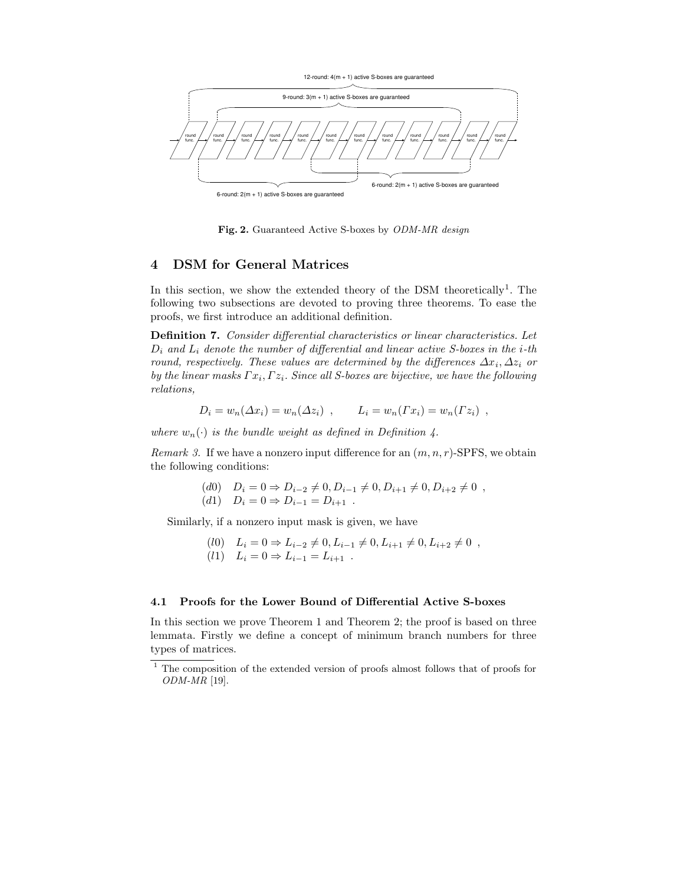

Fig. 2. Guaranteed Active S-boxes by ODM-MR design

# 4 DSM for General Matrices

In this section, we show the extended theory of the DSM theoretically<sup>1</sup>. The following two subsections are devoted to proving three theorems. To ease the proofs, we first introduce an additional definition.

Definition 7. Consider differential characteristics or linear characteristics. Let  $D_i$  and  $L_i$  denote the number of differential and linear active S-boxes in the i-th round, respectively. These values are determined by the differences  $\Delta x_i, \Delta z_i$  or by the linear masks  $\Gamma x_i, \Gamma z_i$ . Since all S-boxes are bijective, we have the following relations,

$$
D_i = w_n(\Delta x_i) = w_n(\Delta z_i) , \qquad L_i = w_n(\Gamma x_i) = w_n(\Gamma z_i) ,
$$

where  $w_n(\cdot)$  is the bundle weight as defined in Definition 4.

Remark 3. If we have a nonzero input difference for an  $(m, n, r)$ -SPFS, we obtain the following conditions:

(d0) 
$$
D_i = 0 \Rightarrow D_{i-2} \neq 0, D_{i-1} \neq 0, D_{i+1} \neq 0, D_{i+2} \neq 0
$$
,  
(d1)  $D_i = 0 \Rightarrow D_{i-1} = D_{i+1}$ .

Similarly, if a nonzero input mask is given, we have

$$
(l0) \quad L_i = 0 \Rightarrow L_{i-2} \neq 0, L_{i-1} \neq 0, L_{i+1} \neq 0, L_{i+2} \neq 0 ,(l1) \quad L_i = 0 \Rightarrow L_{i-1} = L_{i+1} .
$$

## 4.1 Proofs for the Lower Bound of Differential Active S-boxes

In this section we prove Theorem 1 and Theorem 2; the proof is based on three lemmata. Firstly we define a concept of minimum branch numbers for three types of matrices.

<sup>&</sup>lt;sup>1</sup> The composition of the extended version of proofs almost follows that of proofs for ODM-MR [19].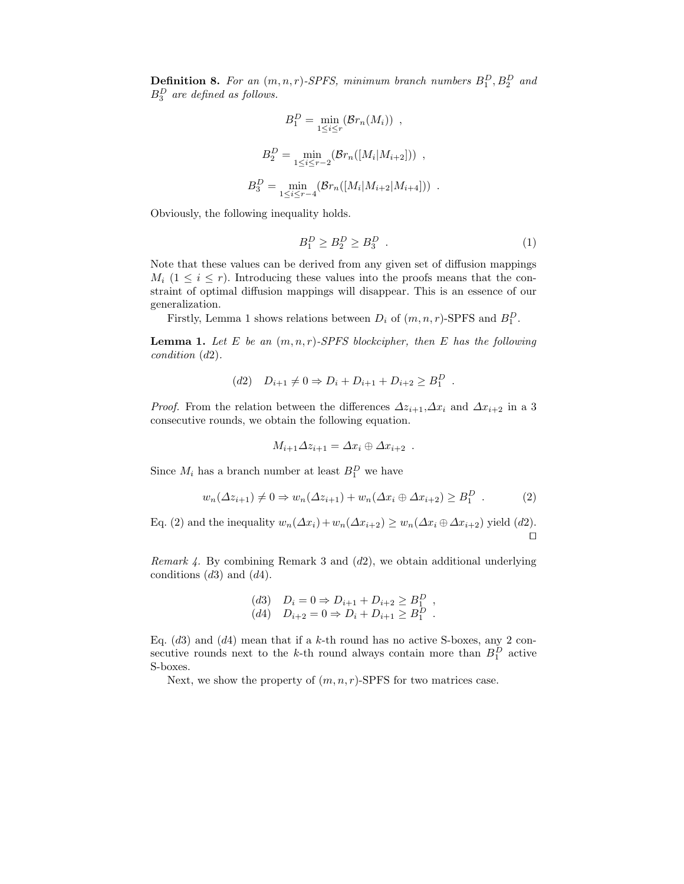**Definition 8.** For an  $(m, n, r)$ -SPFS, minimum branch numbers  $B_1^D$ ,  $B_2^D$  and  $B_3^D$  are defined as follows.

$$
B_1^D = \min_{1 \le i \le r} (\mathcal{B}r_n(M_i)) ,
$$
  
\n
$$
B_2^D = \min_{1 \le i \le r-2} (\mathcal{B}r_n([M_i|M_{i+2}])) ,
$$
  
\n
$$
B_3^D = \min_{1 \le i \le r-4} (\mathcal{B}r_n([M_i|M_{i+2}|M_{i+4}])) .
$$

Obviously, the following inequality holds.

$$
B_1^D \ge B_2^D \ge B_3^D \tag{1}
$$

Note that these values can be derived from any given set of diffusion mappings  $M_i$  (1  $\leq i \leq r$ ). Introducing these values into the proofs means that the constraint of optimal diffusion mappings will disappear. This is an essence of our generalization.

Firstly, Lemma 1 shows relations between  $D_i$  of  $(m, n, r)$ -SPFS and  $B_1^D$ .

**Lemma 1.** Let E be an  $(m, n, r)$ -SPFS blockcipher, then E has the following condition (d2).

$$
(d2) \quad D_{i+1} \neq 0 \Rightarrow D_i + D_{i+1} + D_{i+2} \geq B_1^D \; .
$$

*Proof.* From the relation between the differences  $\Delta z_{i+1}, \Delta x_i$  and  $\Delta x_{i+2}$  in a 3 consecutive rounds, we obtain the following equation.

$$
M_{i+1}\Delta z_{i+1} = \Delta x_i \oplus \Delta x_{i+2} .
$$

Since  $M_i$  has a branch number at least  $B_1^D$  we have

$$
w_n(\Delta z_{i+1}) \neq 0 \Rightarrow w_n(\Delta z_{i+1}) + w_n(\Delta x_i \oplus \Delta x_{i+2}) \geq B_1^D
$$
 (2)

Eq. (2) and the inequality  $w_n(\Delta x_i)+w_n(\Delta x_{i+2}) \geq w_n(\Delta x_i+\Delta x_{i+2})$  yield (d2).  $\Box$ 

Remark 4. By combining Remark 3 and  $(d2)$ , we obtain additional underlying conditions  $(d3)$  and  $(d4)$ .

(d3) 
$$
D_i = 0 \Rightarrow D_{i+1} + D_{i+2} \ge B_1^D
$$
,  
(d4)  $D_{i+2} = 0 \Rightarrow D_i + D_{i+1} \ge B_1^D$ .

Eq.  $(d3)$  and  $(d4)$  mean that if a k-th round has no active S-boxes, any 2 consecutive rounds next to the k-th round always contain more than  $B_1^D$  active S-boxes.

Next, we show the property of  $(m, n, r)$ -SPFS for two matrices case.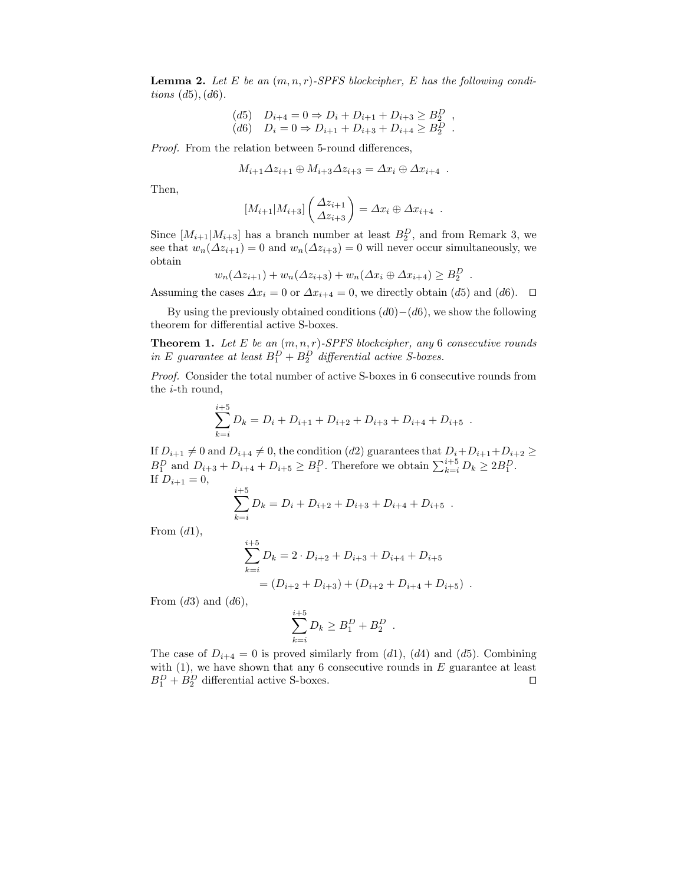**Lemma 2.** Let E be an  $(m, n, r)$ -SPFS blockcipher, E has the following conditions  $(d5)$ ,  $(d6)$ .

(d5) 
$$
D_{i+4} = 0 \Rightarrow D_i + D_{i+1} + D_{i+3} \ge B_2^D
$$
,  
(d6)  $D_i = 0 \Rightarrow D_{i+1} + D_{i+3} + D_{i+4} \ge B_2^D$ .

Proof. From the relation between 5-round differences,

$$
M_{i+1}\Delta z_{i+1}\oplus M_{i+3}\Delta z_{i+3}=\Delta x_i\oplus \Delta x_{i+4} .
$$

Then,

$$
[M_{i+1}|M_{i+3}]\begin{pmatrix}\Delta z_{i+1}\\ \Delta z_{i+3}\end{pmatrix} = \Delta x_i \oplus \Delta x_{i+4} .
$$

Since  $[M_{i+1}|M_{i+3}]$  has a branch number at least  $B_2^D$ , and from Remark 3, we see that  $w_n(\Delta z_{i+1}) = 0$  and  $w_n(\Delta z_{i+3}) = 0$  will never occur simultaneously, we obtain

$$
w_n(\Delta z_{i+1}) + w_n(\Delta z_{i+3}) + w_n(\Delta x_i \oplus \Delta x_{i+4}) \ge B_2^D
$$

.

Assuming the cases  $\Delta x_i = 0$  or  $\Delta x_{i+4} = 0$ , we directly obtain (d5) and (d6).  $\Box$ 

By using the previously obtained conditions  $(d0)-(d6)$ , we show the following theorem for differential active S-boxes.

**Theorem 1.** Let E be an  $(m, n, r)$ -SPFS blockcipher, any 6 consecutive rounds in E guarantee at least  $B_1^D + B_2^D$  differential active S-boxes.

Proof. Consider the total number of active S-boxes in 6 consecutive rounds from the i-th round,

$$
\sum_{k=i}^{i+5} D_k = D_i + D_{i+1} + D_{i+2} + D_{i+3} + D_{i+4} + D_{i+5}.
$$

If  $D_{i+1} \neq 0$  and  $D_{i+4} \neq 0$ , the condition (d2) guarantees that  $D_i+D_{i+1}+D_{i+2} \geq$  $B_1^D$  and  $D_{i+3} + D_{i+4} + D_{i+5} \ge B_1^D$ . Therefore we obtain  $\sum_{k=i}^{i+5} D_k \ge 2B_1^D$ . If  $D_{i+1} = 0$ ,

$$
\sum_{k=i}^{i+5} D_k = D_i + D_{i+2} + D_{i+3} + D_{i+4} + D_{i+5} .
$$

From  $(d1)$ ,

$$
\sum_{k=i}^{i+5} D_k = 2 \cdot D_{i+2} + D_{i+3} + D_{i+4} + D_{i+5}
$$
  
=  $(D_{i+2} + D_{i+3}) + (D_{i+2} + D_{i+4} + D_{i+5})$ .

From  $(d3)$  and  $(d6)$ ,

$$
\sum_{k=i}^{i+5} D_k \ge B_1^D + B_2^D .
$$

The case of  $D_{i+4} = 0$  is proved similarly from (d1), (d4) and (d5). Combining with  $(1)$ , we have shown that any 6 consecutive rounds in E guarantee at least  $B_1^D + B_2^D$  differential active S-boxes.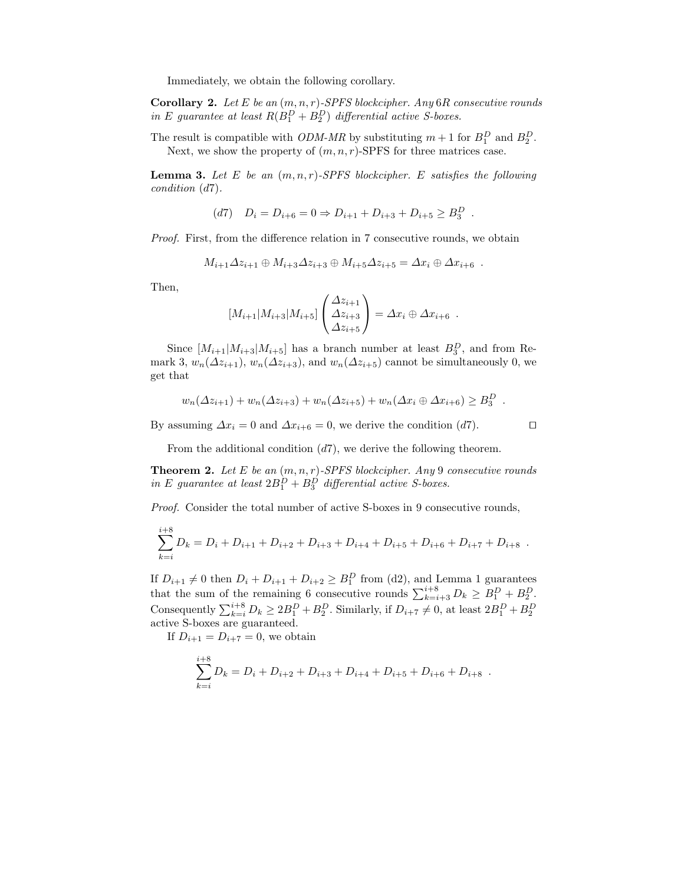Immediately, we obtain the following corollary.

**Corollary 2.** Let E be an  $(m, n, r)$ -SPFS blockcipher. Any 6R consecutive rounds in E guarantee at least  $R(B_1^D + B_2^D)$  differential active S-boxes.

The result is compatible with *ODM-MR* by substituting  $m + 1$  for  $B_1^D$  and  $B_2^D$ . Next, we show the property of  $(m, n, r)$ -SPFS for three matrices case.

**Lemma 3.** Let E be an  $(m, n, r)$ -SPFS blockcipher. E satisfies the following condition (d7).

$$
(d7) \quad D_i = D_{i+6} = 0 \Rightarrow D_{i+1} + D_{i+3} + D_{i+5} \ge B_3^D \; .
$$

Proof. First, from the difference relation in 7 consecutive rounds, we obtain

$$
M_{i+1}\Delta z_{i+1}\oplus M_{i+3}\Delta z_{i+3}\oplus M_{i+5}\Delta z_{i+5}=\Delta x_i\oplus \Delta x_{i+6}.
$$

Then,

$$
[M_{i+1}|M_{i+3}|M_{i+5}] \begin{pmatrix} \Delta z_{i+1} \\ \Delta z_{i+3} \\ \Delta z_{i+5} \end{pmatrix} = \Delta x_i \oplus \Delta x_{i+6} .
$$

Since  $[M_{i+1}|M_{i+3}|M_{i+5}]$  has a branch number at least  $B_3^D$ , and from Remark 3,  $w_n(\Delta z_{i+1}), w_n(\Delta z_{i+3}),$  and  $w_n(\Delta z_{i+5})$  cannot be simultaneously 0, we get that

$$
w_n(\Delta z_{i+1}) + w_n(\Delta z_{i+3}) + w_n(\Delta z_{i+5}) + w_n(\Delta x_i \oplus \Delta x_{i+6}) \geq B_3^D.
$$

By assuming  $\Delta x_i = 0$  and  $\Delta x_{i+6} = 0$ , we derive the condition (d7).

From the additional condition  $(d7)$ , we derive the following theorem.

**Theorem 2.** Let E be an  $(m, n, r)$ -SPFS blockcipher. Any 9 consecutive rounds in E guarantee at least  $2B_1^D + B_3^D$  differential active S-boxes.

Proof. Consider the total number of active S-boxes in 9 consecutive rounds,

$$
\sum_{k=i}^{i+8} D_k = D_i + D_{i+1} + D_{i+2} + D_{i+3} + D_{i+4} + D_{i+5} + D_{i+6} + D_{i+7} + D_{i+8}.
$$

If  $D_{i+1} \neq 0$  then  $D_i + D_{i+1} + D_{i+2} \geq B_1^D$  from (d2), and Lemma 1 guarantees that the sum of the remaining 6 consecutive rounds  $\sum_{k=i+3}^{i+8} D_k \geq B_1^D + B_2^D$ . Consequently  $\sum_{k=i}^{i+8} D_k \ge 2B_1^D + B_2^D$ . Similarly, if  $D_{i+7} \ne 0$ , at least  $2B_1^D + B_2^D$ active S-boxes are guaranteed.

If  $D_{i+1} = D_{i+7} = 0$ , we obtain

 $\cdot$   $\cdot$ 

$$
\sum_{k=i}^{i+8} D_k = D_i + D_{i+2} + D_{i+3} + D_{i+4} + D_{i+5} + D_{i+6} + D_{i+8} .
$$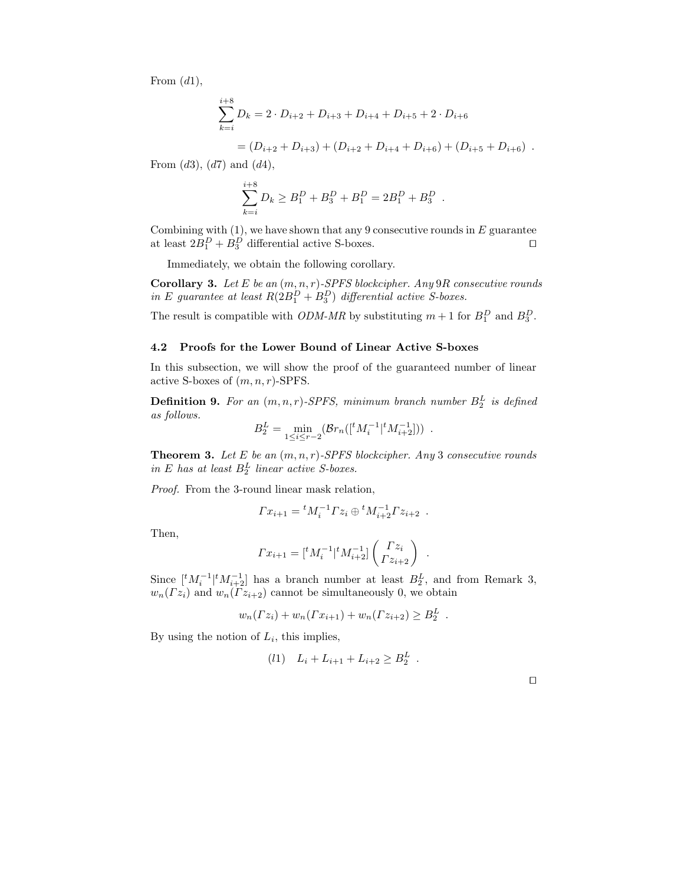From  $(d1)$ ,

$$
\sum_{k=i}^{i+8} D_k = 2 \cdot D_{i+2} + D_{i+3} + D_{i+4} + D_{i+5} + 2 \cdot D_{i+6}
$$
  
=  $(D_{i+2} + D_{i+3}) + (D_{i+2} + D_{i+4} + D_{i+6}) + (D_{i+5} + D_{i+6})$ .

From  $(d3)$ ,  $(d7)$  and  $(d4)$ ,

$$
\sum_{k=i}^{i+8} D_k \ge B_1^D + B_3^D + B_1^D = 2B_1^D + B_3^D.
$$

Combining with  $(1)$ , we have shown that any 9 consecutive rounds in  $E$  guarantee at least  $2B_1^D + B_3^D$  differential active S-boxes.

Immediately, we obtain the following corollary.

Corollary 3. Let E be an  $(m, n, r)$ -SPFS blockcipher. Any 9R consecutive rounds in E guarantee at least  $R(2B_1^D + B_3^D)$  differential active S-boxes.

The result is compatible with *ODM-MR* by substituting  $m + 1$  for  $B_1^D$  and  $B_3^D$ .

#### 4.2 Proofs for the Lower Bound of Linear Active S-boxes

In this subsection, we will show the proof of the guaranteed number of linear active S-boxes of  $(m, n, r)$ -SPFS.

**Definition 9.** For an  $(m, n, r)$ -SPFS, minimum branch number  $B_2^L$  is defined as follows.

$$
B_2^L = \min_{1 \le i \le r-2} (\mathcal{B}r_n([{}^t M_i^{-1} | {}^t M_{i+2}^{-1}])) .
$$

**Theorem 3.** Let E be an  $(m, n, r)$ -SPFS blockcipher. Any 3 consecutive rounds in E has at least  $B_2^L$  linear active S-boxes.

Proof. From the 3-round linear mask relation,

$$
\Gamma x_{i+1} = {}^{t} M_i^{-1} \Gamma z_i \oplus {}^{t} M_{i+2}^{-1} \Gamma z_{i+2} .
$$

Then,

$$
\Gamma x_{i+1} = [{}^t M_i^{-1} | {}^t M_{i+2}^{-1}] \begin{pmatrix} \Gamma z_i \\ \Gamma z_{i+2} \end{pmatrix} .
$$

Since  $\left[ {}^{t}M_{i}^{-1} | {}^{t}M_{i+2}^{-1} \right]$  has a branch number at least  $B_{2}^{L}$ , and from Remark 3,  $w_n(\Gamma z_i)$  and  $w_n(\Gamma z_{i+2})$  cannot be simultaneously 0, we obtain

$$
w_n(\Gamma z_i) + w_n(\Gamma x_{i+1}) + w_n(\Gamma z_{i+2}) \ge B_2^L.
$$

By using the notion of  $L_i$ , this implies,

$$
(l1) \quad L_i + L_{i+1} + L_{i+2} \ge B_2^L \; .
$$

 $\Box$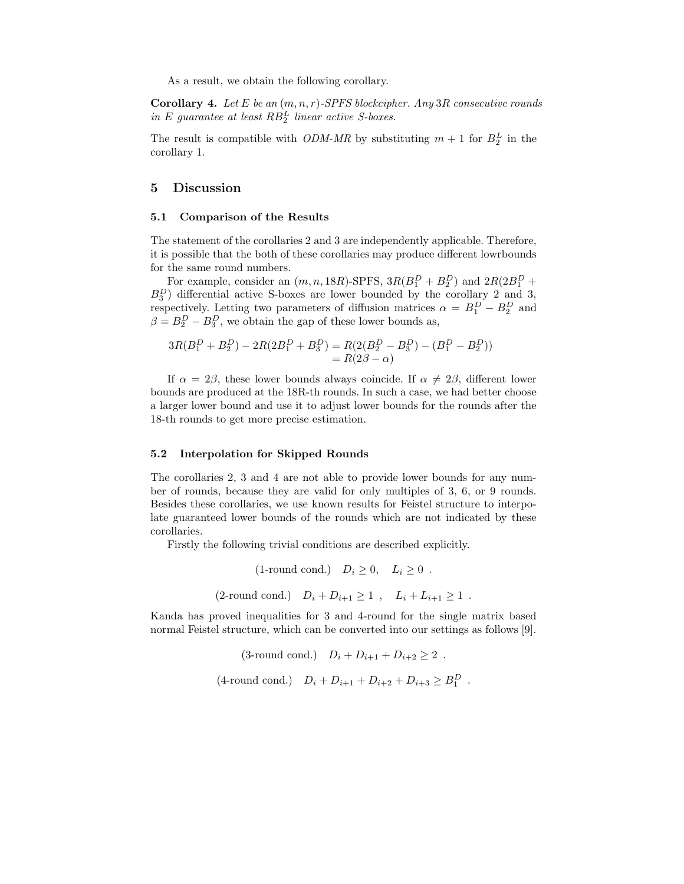As a result, we obtain the following corollary.

**Corollary 4.** Let E be an  $(m, n, r)$ -SPFS blockcipher. Any 3R consecutive rounds in E guarantee at least  $RB_2^L$  linear active S-boxes.

The result is compatible with *ODM-MR* by substituting  $m + 1$  for  $B_2^L$  in the corollary 1.

#### 5 Discussion

#### 5.1 Comparison of the Results

The statement of the corollaries 2 and 3 are independently applicable. Therefore, it is possible that the both of these corollaries may produce different lowrbounds for the same round numbers.

For example, consider an  $(m, n, 18R)$ -SPFS,  $3R(B_1^D + B_2^D)$  and  $2R(2B_1^D +$  $B_3^D$ ) differential active S-boxes are lower bounded by the corollary 2 and 3, respectively. Letting two parameters of diffusion matrices  $\alpha = B_1^D - B_2^D$  and  $\beta = B_2^D - B_3^D$ , we obtain the gap of these lower bounds as,

$$
3R(B_1^D + B_2^D) - 2R(2B_1^D + B_3^D) = R(2(B_2^D - B_3^D) - (B_1^D - B_2^D))
$$
  
= R(2 $\beta$  -  $\alpha$ )

If  $\alpha = 2\beta$ , these lower bounds always coincide. If  $\alpha \neq 2\beta$ , different lower bounds are produced at the 18R-th rounds. In such a case, we had better choose a larger lower bound and use it to adjust lower bounds for the rounds after the 18-th rounds to get more precise estimation.

#### 5.2 Interpolation for Skipped Rounds

The corollaries 2, 3 and 4 are not able to provide lower bounds for any number of rounds, because they are valid for only multiples of 3, 6, or 9 rounds. Besides these corollaries, we use known results for Feistel structure to interpolate guaranteed lower bounds of the rounds which are not indicated by these corollaries.

Firstly the following trivial conditions are described explicitly.

(1-round cond.) 
$$
D_i \ge 0
$$
,  $L_i \ge 0$ .  
(2-round cond.)  $D_i + D_{i+1} \ge 1$ ,  $L_i + L_{i+1} \ge 1$ .

Kanda has proved inequalities for 3 and 4-round for the single matrix based normal Feistel structure, which can be converted into our settings as follows [9].

$$
(3\text{-round cond.}) \quad D_i + D_{i+1} + D_{i+2} \ge 2 \enspace .
$$

 $(4\text{-round cond.})$   $D_i + D_{i+1} + D_{i+2} + D_{i+3} \ge B_1^D$ .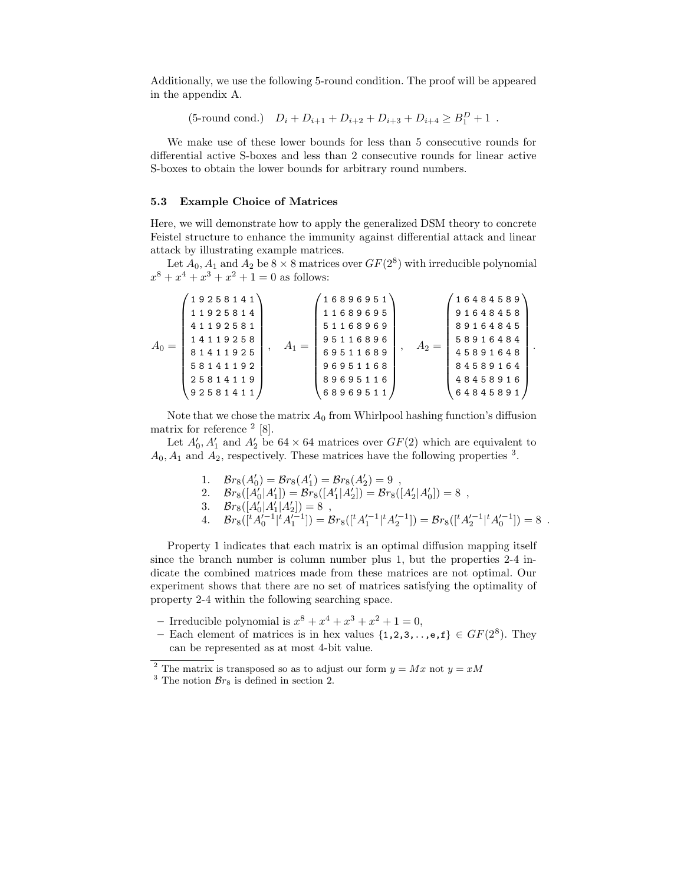Additionally, we use the following 5-round condition. The proof will be appeared in the appendix A.

(5-round cond.)  $D_i + D_{i+1} + D_{i+2} + D_{i+3} + D_{i+4} \geq B_1^D + 1$ .

We make use of these lower bounds for less than 5 consecutive rounds for differential active S-boxes and less than 2 consecutive rounds for linear active S-boxes to obtain the lower bounds for arbitrary round numbers.

# 5.3 Example Choice of Matrices

Here, we will demonstrate how to apply the generalized DSM theory to concrete Feistel structure to enhance the immunity against differential attack and linear attack by illustrating example matrices.

Let  $A_0$ ,  $A_1$  and  $A_2$  be  $8 \times 8$  matrices over  $GF(2^8)$  with irreducible polynomial  $x^8 + x^4 + x^3 + x^2 + 1 = 0$  as follows:

| 25814119<br>48458916<br>89695116<br>92581411<br>68969511<br>64845891 | $A_0 =$ | 19258141<br>11925814<br>41192581<br>14119258<br>81411925<br>58141192 | $A_1 =$ | 16896951<br>11689695<br>51168969<br>95116896<br>69511689<br>96951168 | $A_2 =$ | 16484589<br>91648458<br>89164845<br>58916484<br>45891648<br>84589164 |  |
|----------------------------------------------------------------------|---------|----------------------------------------------------------------------|---------|----------------------------------------------------------------------|---------|----------------------------------------------------------------------|--|
|----------------------------------------------------------------------|---------|----------------------------------------------------------------------|---------|----------------------------------------------------------------------|---------|----------------------------------------------------------------------|--|

Note that we chose the matrix  $A_0$  from Whirlpool hashing function's diffusion matrix for reference  $2$  [8].

Let  $A'_0$ ,  $A'_1$  and  $A'_2$  be 64 × 64 matrices over  $GF(2)$  which are equivalent to  $A_0, A_1$  and  $A_2$ , respectively. These matrices have the following properties <sup>3</sup>.

- 1.  $\mathcal{B}r_8(A'_0) = \mathcal{B}r_8(A'_1) = \mathcal{B}r_8(A'_2) = 9$ ,
- 2.  $\mathcal{B}r_8([A'_0|A'_1]) = \mathcal{B}r_8([A'_1|A'_2]) = \mathcal{B}r_8([A'_2|A'_0]) = 8$ ,
- 3.  $Br_8([A'_0|A'_1|A'_2]) = 8$ ,

4. 
$$
\mathcal{B}r_8([{}^tA_0'^{-1}|{}^tA_1'^{-1}]) = \mathcal{B}r_8([{}^tA_1'^{-1}|{}^tA_2'^{-1}]) = \mathcal{B}r_8([{}^tA_2'^{-1}|{}^tA_0'^{-1}]) = 8
$$
.

Property 1 indicates that each matrix is an optimal diffusion mapping itself since the branch number is column number plus 1, but the properties 2-4 indicate the combined matrices made from these matrices are not optimal. Our experiment shows that there are no set of matrices satisfying the optimality of property 2-4 within the following searching space.

- Irreducible polynomial is  $x^8 + x^4 + x^3 + x^2 + 1 = 0$ ,
- Each element of matrices is in hex values  $\{1,2,3,\ldots,\mathbf{e},\mathbf{f}\}\in GF(2^8)$ . They can be represented as at most 4-bit value.

<sup>&</sup>lt;sup>2</sup> The matrix is transposed so as to adjust our form  $y = Mx$  not  $y = xM$ 

<sup>&</sup>lt;sup>3</sup> The notion  $\mathcal{B}_{r_8}$  is defined in section 2.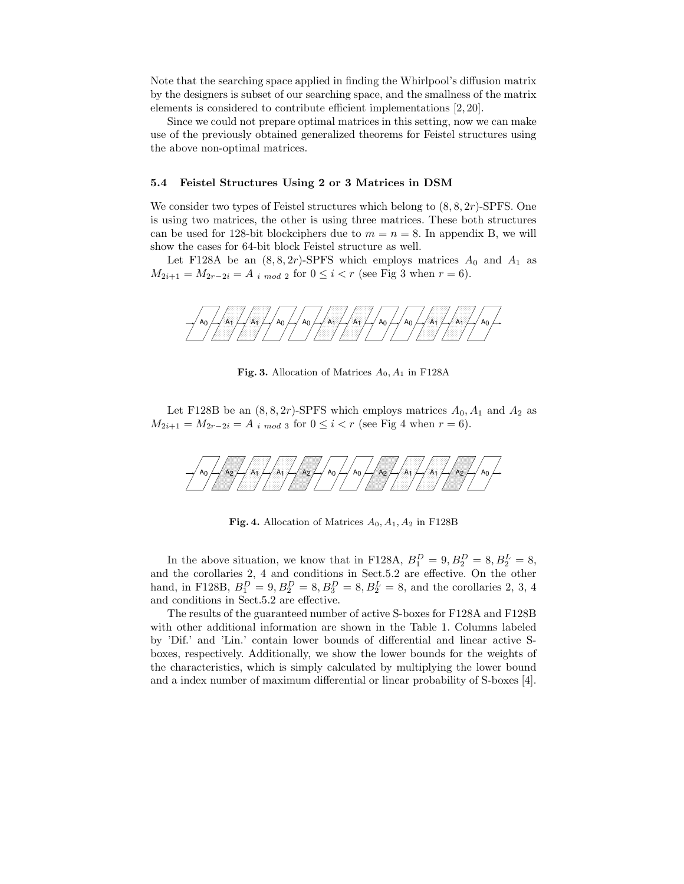Note that the searching space applied in finding the Whirlpool's diffusion matrix by the designers is subset of our searching space, and the smallness of the matrix elements is considered to contribute efficient implementations [2, 20].

Since we could not prepare optimal matrices in this setting, now we can make use of the previously obtained generalized theorems for Feistel structures using the above non-optimal matrices.

#### 5.4 Feistel Structures Using 2 or 3 Matrices in DSM

We consider two types of Feistel structures which belong to  $(8, 8, 2r)$ -SPFS. One is using two matrices, the other is using three matrices. These both structures can be used for 128-bit blockciphers due to  $m = n = 8$ . In appendix B, we will show the cases for 64-bit block Feistel structure as well.

Let F128A be an  $(8, 8, 2r)$ -SPFS which employs matrices  $A_0$  and  $A_1$  as  $M_{2i+1} = M_{2r-2i} = A_{i \mod 2}$  for  $0 \le i < r$  (see Fig 3 when  $r = 6$ ).



**Fig. 3.** Allocation of Matrices  $A_0$ ,  $A_1$  in F128A

Let F128B be an  $(8, 8, 2r)$ -SPFS which employs matrices  $A_0$ ,  $A_1$  and  $A_2$  as  $M_{2i+1} = M_{2r-2i} = A_{i \mod 3}$  for  $0 \leq i < r$  (see Fig 4 when  $r = 6$ ).



**Fig. 4.** Allocation of Matrices  $A_0$ ,  $A_1$ ,  $A_2$  in F128B

In the above situation, we know that in F128A,  $B_1^D = 9$ ,  $B_2^D = 8$ ,  $B_2^L = 8$ , and the corollaries 2, 4 and conditions in Sect.5.2 are effective. On the other hand, in F128B,  $B_1^D = 9, B_2^D = 8, B_3^D = 8, B_2^L = 8$ , and the corollaries 2, 3, 4 and conditions in Sect.5.2 are effective.

The results of the guaranteed number of active S-boxes for F128A and F128B with other additional information are shown in the Table 1. Columns labeled by 'Dif.' and 'Lin.' contain lower bounds of differential and linear active Sboxes, respectively. Additionally, we show the lower bounds for the weights of the characteristics, which is simply calculated by multiplying the lower bound and a index number of maximum differential or linear probability of S-boxes [4].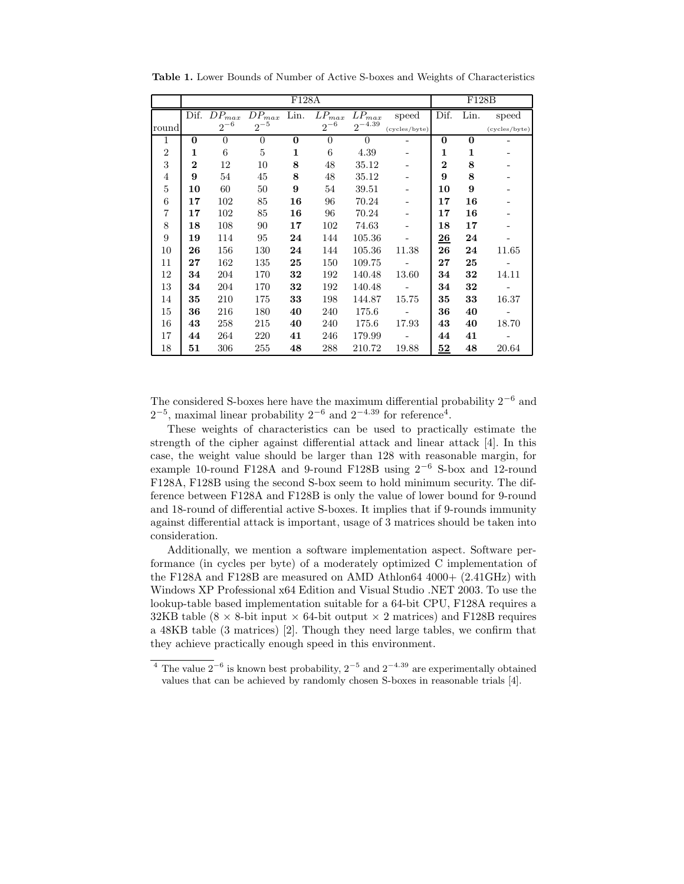|                | F128A    |                                        |                |             |                       |             |               | F128B                 |              |               |
|----------------|----------|----------------------------------------|----------------|-------------|-----------------------|-------------|---------------|-----------------------|--------------|---------------|
|                |          | $\overline{\mathrm{D}}$ if. $DP_{max}$ | $DP_{max}$     | Lin.        | $\overline{L}P_{max}$ | $LP_{max}$  | speed         | Dif.                  | Lin.         | speed         |
| round          |          | $2^{-6}$                               | $2^{-5}$       |             | $2^{-6}$              | $2^{-4.39}$ | (cycles/byte) |                       |              | (cycles/byte) |
| 1              | 0        | $\theta$                               | $\overline{0}$ | $\bf{0}$    | $\overline{0}$        | $\theta$    |               | $\bf{0}$              | $\mathbf{0}$ |               |
| $\overline{2}$ | 1        | 6                                      | 5              | $\mathbf 1$ | 6                     | 4.39        |               | $\mathbf 1$           | $\mathbf{1}$ |               |
| 3              | $\bf{2}$ | 12                                     | 10             | 8           | 48                    | 35.12       |               | $\overline{2}$        | 8            |               |
| $\overline{4}$ | 9        | 54                                     | 45             | 8           | 48                    | 35.12       |               | 9                     | 8            |               |
| 5              | 10       | 60                                     | 50             | 9           | 54                    | 39.51       |               | 10                    | 9            |               |
| 6              | 17       | 102                                    | 85             | 16          | 96                    | 70.24       |               | 17                    | 16           |               |
| $\overline{7}$ | 17       | 102                                    | 85             | 16          | 96                    | 70.24       |               | 17                    | 16           |               |
| 8              | 18       | 108                                    | 90             | 17          | 102                   | 74.63       |               | 18                    | 17           |               |
| 9              | 19       | 114                                    | 95             | 24          | 144                   | 105.36      |               | $\overline{{\bf 26}}$ | 24           |               |
| 10             | 26       | 156                                    | 130            | 24          | 144                   | 105.36      | 11.38         | 26                    | 24           | 11.65         |
| 11             | $27\,$   | 162                                    | 135            | 25          | 150                   | 109.75      |               | $27\,$                | 25           |               |
| 12             | 34       | 204                                    | 170            | 32          | 192                   | 140.48      | 13.60         | 34                    | 32           | 14.11         |
| 13             | 34       | 204                                    | 170            | 32          | 192                   | 140.48      |               | 34                    | 32           |               |
| 14             | 35       | 210                                    | 175            | 33          | 198                   | 144.87      | 15.75         | 35                    | 33           | 16.37         |
| 15             | 36       | 216                                    | 180            | 40          | 240                   | 175.6       |               | 36                    | 40           |               |
| 16             | 43       | 258                                    | 215            | 40          | 240                   | 175.6       | 17.93         | 43                    | 40           | 18.70         |
| 17             | 44       | 264                                    | 220            | 41          | 246                   | 179.99      |               | 44                    | 41           |               |
| 18             | 51       | 306                                    | 255            | 48          | 288                   | 210.72      | 19.88         | 52                    | 48           | 20.64         |

Table 1. Lower Bounds of Number of Active S-boxes and Weights of Characteristics

The considered S-boxes here have the maximum differential probability  $2^{-6}$  and  $2^{-5}$ , maximal linear probability  $2^{-6}$  and  $2^{-4.39}$  for reference<sup>4</sup>.

These weights of characteristics can be used to practically estimate the strength of the cipher against differential attack and linear attack [4]. In this case, the weight value should be larger than 128 with reasonable margin, for example 10-round F128A and 9-round F128B using  $2^{-6}$  S-box and 12-round F128A, F128B using the second S-box seem to hold minimum security. The difference between F128A and F128B is only the value of lower bound for 9-round and 18-round of differential active S-boxes. It implies that if 9-rounds immunity against differential attack is important, usage of 3 matrices should be taken into consideration.

Additionally, we mention a software implementation aspect. Software performance (in cycles per byte) of a moderately optimized C implementation of the F128A and F128B are measured on AMD Athlon64 4000+ (2.41GHz) with Windows XP Professional x64 Edition and Visual Studio .NET 2003. To use the lookup-table based implementation suitable for a 64-bit CPU, F128A requires a 32KB table (8  $\times$  8-bit input  $\times$  64-bit output  $\times$  2 matrices) and F128B requires a 48KB table (3 matrices) [2]. Though they need large tables, we confirm that they achieve practically enough speed in this environment.

<sup>&</sup>lt;sup>4</sup> The value  $2^{-6}$  is known best probability,  $2^{-5}$  and  $2^{-4.39}$  are experimentally obtained values that can be achieved by randomly chosen S-boxes in reasonable trials [4].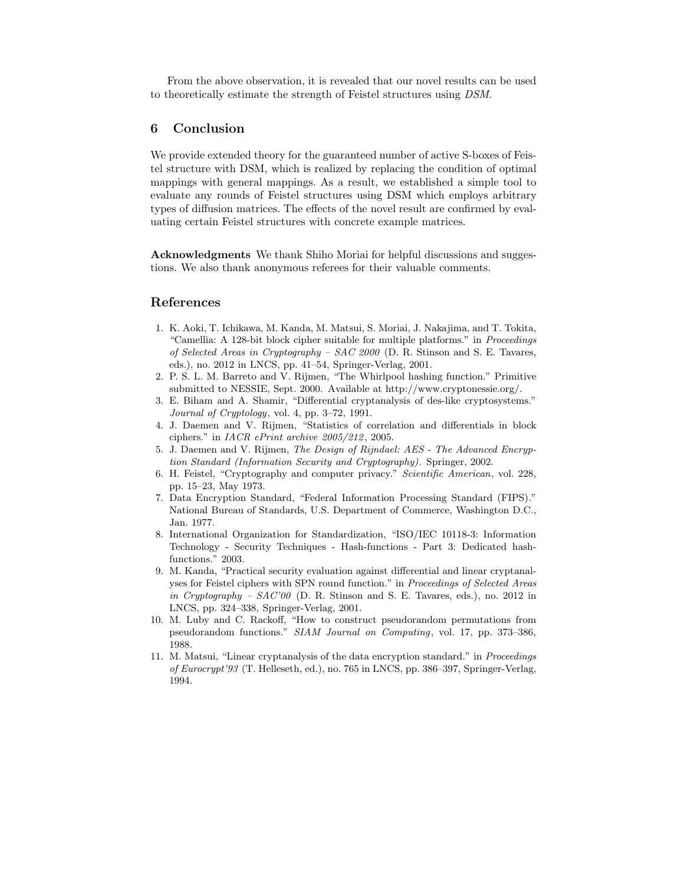From the above observation, it is revealed that our novel results can be used to theoretically estimate the strength of Feistel structures using DSM.

# 6 Conclusion

We provide extended theory for the guaranteed number of active S-boxes of Feistel structure with DSM, which is realized by replacing the condition of optimal mappings with general mappings. As a result, we established a simple tool to evaluate any rounds of Feistel structures using DSM which employs arbitrary types of diffusion matrices. The effects of the novel result are confirmed by evaluating certain Feistel structures with concrete example matrices.

Acknowledgments We thank Shiho Moriai for helpful discussions and suggestions. We also thank anonymous referees for their valuable comments.

# References

- 1. K. Aoki, T. Ichikawa, M. Kanda, M. Matsui, S. Moriai, J. Nakajima, and T. Tokita, "Camellia: A 128-bit block cipher suitable for multiple platforms." in Proceedings of Selected Areas in Cryptography – SAC 2000 (D. R. Stinson and S. E. Tavares, eds.), no. 2012 in LNCS, pp. 41–54, Springer-Verlag, 2001.
- 2. P. S. L. M. Barreto and V. Rijmen, "The Whirlpool hashing function." Primitive submitted to NESSIE, Sept. 2000. Available at http://www.cryptonessie.org/.
- 3. E. Biham and A. Shamir, "Differential cryptanalysis of des-like cryptosystems." Journal of Cryptology, vol. 4, pp. 3–72, 1991.
- 4. J. Daemen and V. Rijmen, "Statistics of correlation and differentials in block ciphers." in  $IACR$  ePrint archive  $2005/212$ , 2005.
- 5. J. Daemen and V. Rijmen, The Design of Rijndael: AES The Advanced Encryption Standard (Information Security and Cryptography). Springer, 2002.
- 6. H. Feistel, "Cryptography and computer privacy." Scientific American, vol. 228, pp. 15–23, May 1973.
- 7. Data Encryption Standard, "Federal Information Processing Standard (FIPS)." National Bureau of Standards, U.S. Department of Commerce, Washington D.C., Jan. 1977.
- 8. International Organization for Standardization, "ISO/IEC 10118-3: Information Technology - Security Techniques - Hash-functions - Part 3: Dedicated hashfunctions." 2003.
- 9. M. Kanda, "Practical security evaluation against differential and linear cryptanalyses for Feistel ciphers with SPN round function." in Proceedings of Selected Areas in Cryptography – SAC'00 (D. R. Stinson and S. E. Tavares, eds.), no. 2012 in LNCS, pp. 324–338, Springer-Verlag, 2001.
- 10. M. Luby and C. Rackoff, "How to construct pseudorandom permutations from pseudorandom functions." SIAM Journal on Computing, vol. 17, pp. 373–386, 1988.
- 11. M. Matsui, "Linear cryptanalysis of the data encryption standard." in Proceedings of Eurocrypt'93 (T. Helleseth, ed.), no. 765 in LNCS, pp. 386–397, Springer-Verlag, 1994.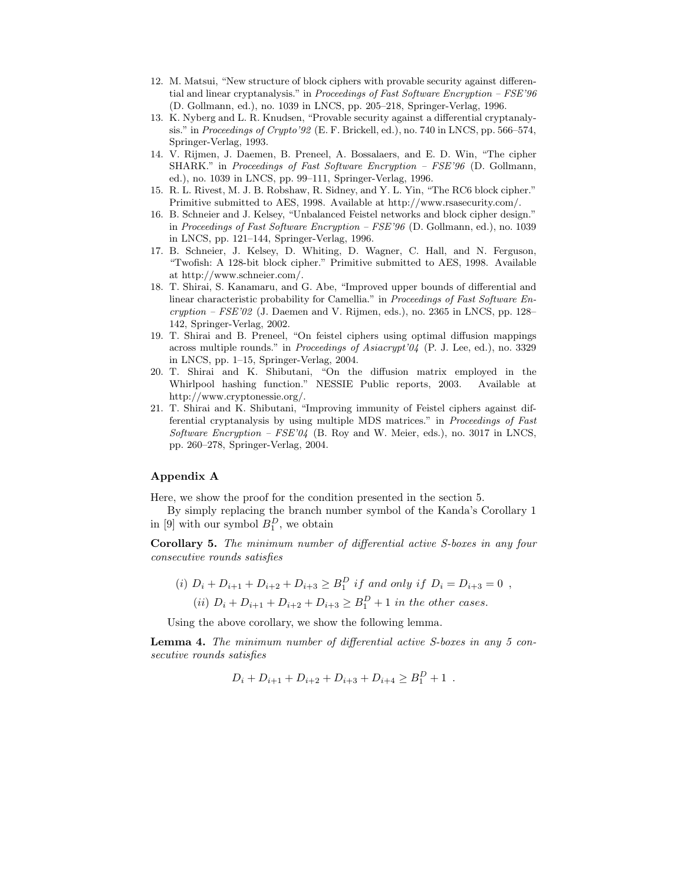- 12. M. Matsui, "New structure of block ciphers with provable security against differential and linear cryptanalysis." in Proceedings of Fast Software Encryption – FSE'96 (D. Gollmann, ed.), no. 1039 in LNCS, pp. 205–218, Springer-Verlag, 1996.
- 13. K. Nyberg and L. R. Knudsen, "Provable security against a differential cryptanalysis." in Proceedings of Crypto'92 (E. F. Brickell, ed.), no. 740 in LNCS, pp. 566–574, Springer-Verlag, 1993.
- 14. V. Rijmen, J. Daemen, B. Preneel, A. Bossalaers, and E. D. Win, "The cipher SHARK." in Proceedings of Fast Software Encryption – FSE'96 (D. Gollmann, ed.), no. 1039 in LNCS, pp. 99–111, Springer-Verlag, 1996.
- 15. R. L. Rivest, M. J. B. Robshaw, R. Sidney, and Y. L. Yin, "The RC6 block cipher." Primitive submitted to AES, 1998. Available at http://www.rsasecurity.com/.
- 16. B. Schneier and J. Kelsey, "Unbalanced Feistel networks and block cipher design." in Proceedings of Fast Software Encryption – FSE'96 (D. Gollmann, ed.), no. 1039 in LNCS, pp. 121–144, Springer-Verlag, 1996.
- 17. B. Schneier, J. Kelsey, D. Whiting, D. Wagner, C. Hall, and N. Ferguson, "Twofish: A 128-bit block cipher." Primitive submitted to AES, 1998. Available at http://www.schneier.com/.
- 18. T. Shirai, S. Kanamaru, and G. Abe, "Improved upper bounds of differential and linear characteristic probability for Camellia." in Proceedings of Fast Software En $cryption - FSE'02$  (J. Daemen and V. Rijmen, eds.), no. 2365 in LNCS, pp. 128– 142, Springer-Verlag, 2002.
- 19. T. Shirai and B. Preneel, "On feistel ciphers using optimal diffusion mappings across multiple rounds." in Proceedings of Asiacrypt'04 (P. J. Lee, ed.), no. 3329 in LNCS, pp. 1–15, Springer-Verlag, 2004.
- 20. T. Shirai and K. Shibutani, "On the diffusion matrix employed in the Whirlpool hashing function." NESSIE Public reports, 2003. Available at http://www.cryptonessie.org/.
- 21. T. Shirai and K. Shibutani, "Improving immunity of Feistel ciphers against differential cryptanalysis by using multiple MDS matrices." in Proceedings of Fast Software Encryption –  $FSE'04$  (B. Roy and W. Meier, eds.), no. 3017 in LNCS, pp. 260–278, Springer-Verlag, 2004.

## Appendix A

Here, we show the proof for the condition presented in the section 5.

By simply replacing the branch number symbol of the Kanda's Corollary 1 in [9] with our symbol  $B_1^D$ , we obtain

Corollary 5. The minimum number of differential active S-boxes in any four consecutive rounds satisfies

(i) 
$$
D_i + D_{i+1} + D_{i+2} + D_{i+3} \ge B_1^D
$$
 if and only if  $D_i = D_{i+3} = 0$ ,  
(ii)  $D_i + D_{i+1} + D_{i+2} + D_{i+3} \ge B_1^D + 1$  in the other cases.

Using the above corollary, we show the following lemma.

Lemma 4. The minimum number of differential active S-boxes in any 5 consecutive rounds satisfies

$$
D_i + D_{i+1} + D_{i+2} + D_{i+3} + D_{i+4} \ge B_1^D + 1.
$$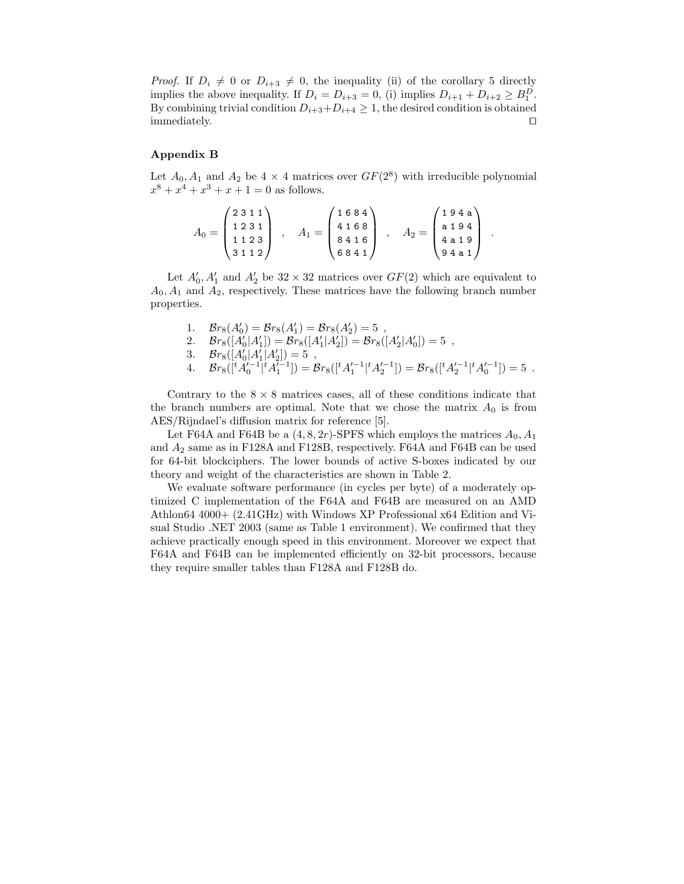*Proof.* If  $D_i \neq 0$  or  $D_{i+3} \neq 0$ , the inequality (ii) of the corollary 5 directly implies the above inequality. If  $D_i = D_{i+3} = 0$ , (i) implies  $D_{i+1} + D_{i+2} \ge B_1^D$ . By combining trivial condition  $D_{i+3}+D_{i+4} \geq 1$ , the desired condition is obtained immediately. immediately.

#### Appendix B

Let  $A_0$ ,  $A_1$  and  $A_2$  be  $4 \times 4$  matrices over  $GF(2^8)$  with irreducible polynomial  $x^8 + x^4 + x^3 + x + 1 = 0$  as follows.

$$
A_0 = \begin{pmatrix} 2 & 3 & 1 & 1 \\ 1 & 2 & 3 & 1 \\ 1 & 1 & 2 & 3 \\ 3 & 1 & 1 & 2 \end{pmatrix} , A_1 = \begin{pmatrix} 1 & 6 & 8 & 4 \\ 4 & 1 & 6 & 8 \\ 8 & 4 & 1 & 6 \\ 6 & 8 & 4 & 1 \end{pmatrix} , A_2 = \begin{pmatrix} 1 & 9 & 4 & a \\ a & 1 & 9 & 4 \\ 4 & a & 1 & 9 \\ 9 & 4 & a & 1 \end{pmatrix} .
$$

Let  $A'_0$ ,  $A'_1$  and  $A'_2$  be  $32 \times 32$  matrices over  $GF(2)$  which are equivalent to  $A_0$ ,  $A_1$  and  $A_2$ , respectively. These matrices have the following branch number properties.

1. 
$$
\mathcal{B}r_8(A'_0) = \mathcal{B}r_8(A'_1) = \mathcal{B}r_8(A'_2) = 5
$$
,  
\n2.  $\mathcal{B}r_8([A'_0|A'_1]) = \mathcal{B}r_8([A'_1|A'_2]) = \mathcal{B}r_8([A'_2|A'_0]) = 5$ ,  
\n3.  $\mathcal{B}r_8([A'_0|A'_1|A'_2]) = 5$ ,  
\n4.  $\mathcal{B}r_8([{}^tA'_0{}^{-1}|{}^tA'_1{}^{-1}]) = \mathcal{B}r_8([{}^tA'_1{}^{-1}|{}^tA'_2{}^{-1}]) = \mathcal{B}r_8([{}^tA'_2{}^{-1}|{}^tA'_0{}^{-1}]) = 5$ .

Contrary to the  $8 \times 8$  matrices cases, all of these conditions indicate that the branch numbers are optimal. Note that we chose the matrix  $A_0$  is from AES/Rijndael's diffusion matrix for reference [5].

Let F64A and F64B be a  $(4, 8, 2r)$ -SPFS which employs the matrices  $A_0, A_1$ and  $A_2$  same as in F128A and F128B, respectively. F64A and F64B can be used for 64-bit blockciphers. The lower bounds of active S-boxes indicated by our theory and weight of the characteristics are shown in Table 2.

We evaluate software performance (in cycles per byte) of a moderately optimized C implementation of the F64A and F64B are measured on an AMD Athlon64 4000+ (2.41GHz) with Windows XP Professional x64 Edition and Visual Studio .NET 2003 (same as Table 1 environment). We confirmed that they achieve practically enough speed in this environment. Moreover we expect that F64A and F64B can be implemented efficiently on 32-bit processors, because they require smaller tables than F128A and F128B do.